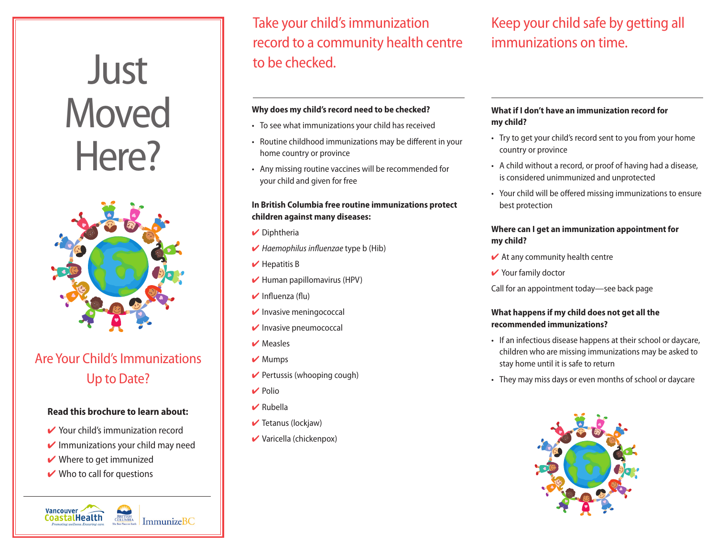# **Just Moved** Here?



# Are Your Child's Immunizations Up to Date?

## **Read this brochure to learn about:**

- Your child's immunization record
- $\vee$  Immunizations your child may need

BRITISH<br>COLUMBIA

ImmunizeBC

- $\vee$  Where to get immunized
- $\vee$  Who to call for questions

Vancouver CoastalHealth

Take your child's immunization record to a community health centre to be checked.

## **Why does my child's record need to be checked?**

- To see what immunizations your child has received
- Routine childhood immunizations may be different in your home country or province
- • Any missing routine vaccines will be recommended for your child and given for free

# **In British Columbia free routine immunizations protect children against many diseases:**

- $\vee$  Diphtheria
- 4 *Haemophilus influenzae* type b (Hib)
- $\vee$  Hepatitis B
- $\blacktriangleright$  Human papillomavirus (HPV)
- $\blacktriangleright$  Influenza (flu)
- $\triangleright$  Invasive meningococcal
- $\triangleright$  Invasive pneumococcal
- $\vee$  Measles
- $\vee$  Mumps
- $\vee$  Pertussis (whooping cough)
- $\vee$  Polio
- $\vee$  Rubella
- $\blacktriangleright$  Tetanus (lockjaw)
- $\vee$  Varicella (chickenpox)

# Keep your child safe by getting all immunizations on time.

## **What if I don't have an immunization record for my child?**

- Try to get your child's record sent to you from your home country or province
- A child without a record, or proof of having had a disease, is considered unimmunized and unprotected
- • Your child will be offered missing immunizations to ensure best protection

## **Where can I get an immunization appointment for my child?**

- $\blacktriangleright$  At any community health centre
- $\vee$  Your family doctor

Call for an appointment today—see back page

# **What happens if my child does not get all the recommended immunizations?**

- If an infectious disease happens at their school or daycare, children who are missing immunizations may be asked to stay home until it is safe to return
- They may miss days or even months of school or daycare